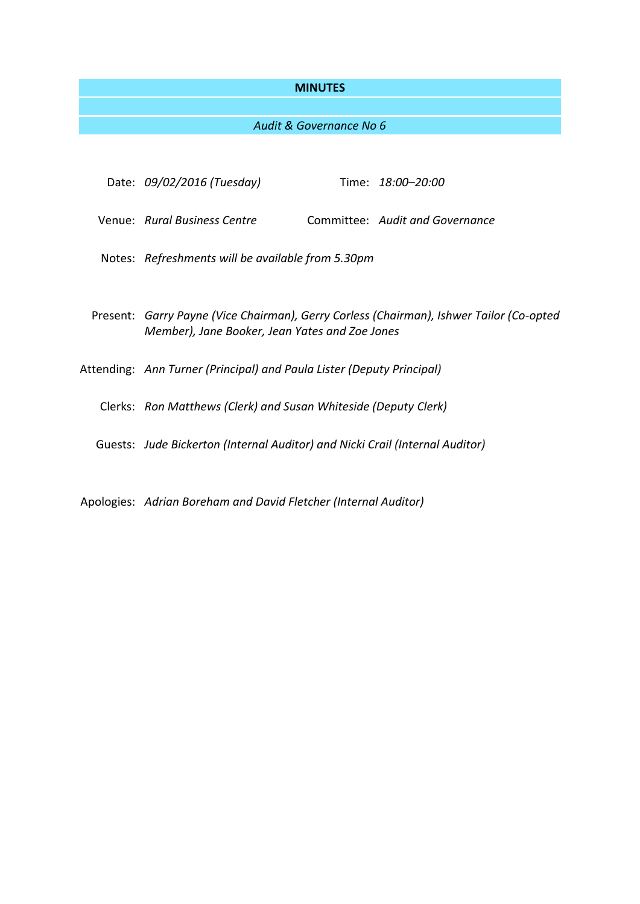# **MINUTES**

# *Audit & Governance No 6*

| Date: 09/02/2016 (Tuesday)                                                                                                                |  | Time: 18:00-20:00               |
|-------------------------------------------------------------------------------------------------------------------------------------------|--|---------------------------------|
| Venue: Rural Business Centre                                                                                                              |  | Committee: Audit and Governance |
| Notes: Refreshments will be available from 5.30pm                                                                                         |  |                                 |
|                                                                                                                                           |  |                                 |
| Present: Garry Payne (Vice Chairman), Gerry Corless (Chairman), Ishwer Tailor (Co-opted<br>Member), Jane Booker, Jean Yates and Zoe Jones |  |                                 |
| Attending: Ann Turner (Principal) and Paula Lister (Deputy Principal)                                                                     |  |                                 |
| Clerks: Ron Matthews (Clerk) and Susan Whiteside (Deputy Clerk)                                                                           |  |                                 |
| Guests: Jude Bickerton (Internal Auditor) and Nicki Crail (Internal Auditor)                                                              |  |                                 |
|                                                                                                                                           |  |                                 |

Apologies: *Adrian Boreham and David Fletcher (Internal Auditor)*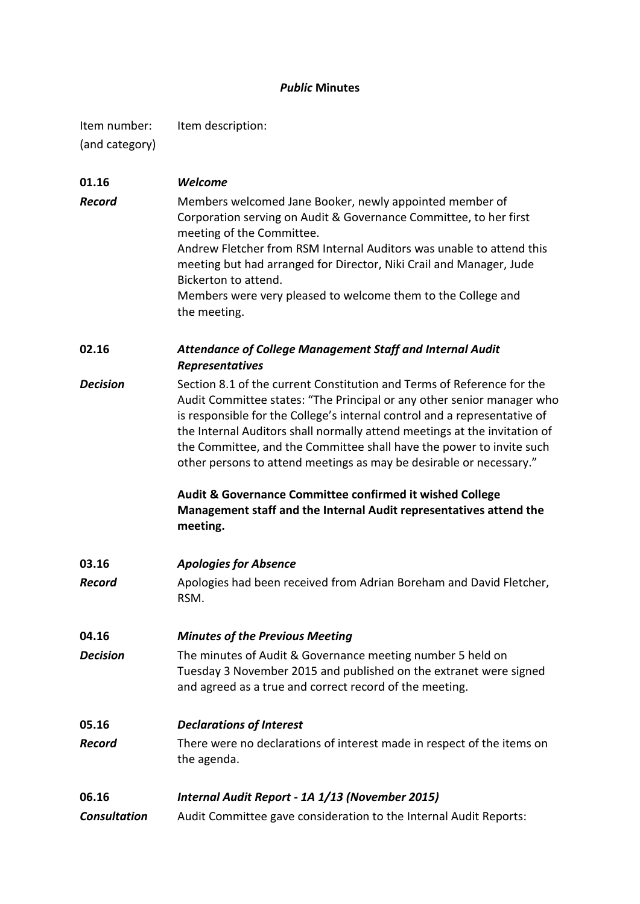# *Public* **Minutes**

Item number: Item description:

(and category)

| 01.16               | Welcome                                                                                                                                                                                                                                                                                                                                                                                                                                                   |  |  |
|---------------------|-----------------------------------------------------------------------------------------------------------------------------------------------------------------------------------------------------------------------------------------------------------------------------------------------------------------------------------------------------------------------------------------------------------------------------------------------------------|--|--|
| <b>Record</b>       | Members welcomed Jane Booker, newly appointed member of<br>Corporation serving on Audit & Governance Committee, to her first<br>meeting of the Committee.                                                                                                                                                                                                                                                                                                 |  |  |
|                     | Andrew Fletcher from RSM Internal Auditors was unable to attend this<br>meeting but had arranged for Director, Niki Crail and Manager, Jude<br>Bickerton to attend.                                                                                                                                                                                                                                                                                       |  |  |
|                     | Members were very pleased to welcome them to the College and<br>the meeting.                                                                                                                                                                                                                                                                                                                                                                              |  |  |
| 02.16               | Attendance of College Management Staff and Internal Audit<br>Representatives                                                                                                                                                                                                                                                                                                                                                                              |  |  |
| <b>Decision</b>     | Section 8.1 of the current Constitution and Terms of Reference for the<br>Audit Committee states: "The Principal or any other senior manager who<br>is responsible for the College's internal control and a representative of<br>the Internal Auditors shall normally attend meetings at the invitation of<br>the Committee, and the Committee shall have the power to invite such<br>other persons to attend meetings as may be desirable or necessary." |  |  |
|                     | Audit & Governance Committee confirmed it wished College<br>Management staff and the Internal Audit representatives attend the<br>meeting.                                                                                                                                                                                                                                                                                                                |  |  |
| 03.16               | <b>Apologies for Absence</b>                                                                                                                                                                                                                                                                                                                                                                                                                              |  |  |
| <b>Record</b>       | Apologies had been received from Adrian Boreham and David Fletcher,<br>RSM.                                                                                                                                                                                                                                                                                                                                                                               |  |  |
| 04.16               | <b>Minutes of the Previous Meeting</b>                                                                                                                                                                                                                                                                                                                                                                                                                    |  |  |
| <b>Decision</b>     | The minutes of Audit & Governance meeting number 5 held on<br>Tuesday 3 November 2015 and published on the extranet were signed<br>and agreed as a true and correct record of the meeting.                                                                                                                                                                                                                                                                |  |  |
| 05.16               | <b>Declarations of Interest</b>                                                                                                                                                                                                                                                                                                                                                                                                                           |  |  |
| <b>Record</b>       | There were no declarations of interest made in respect of the items on<br>the agenda.                                                                                                                                                                                                                                                                                                                                                                     |  |  |
| 06.16               | Internal Audit Report - 1A 1/13 (November 2015)                                                                                                                                                                                                                                                                                                                                                                                                           |  |  |
| <b>Consultation</b> | Audit Committee gave consideration to the Internal Audit Reports:                                                                                                                                                                                                                                                                                                                                                                                         |  |  |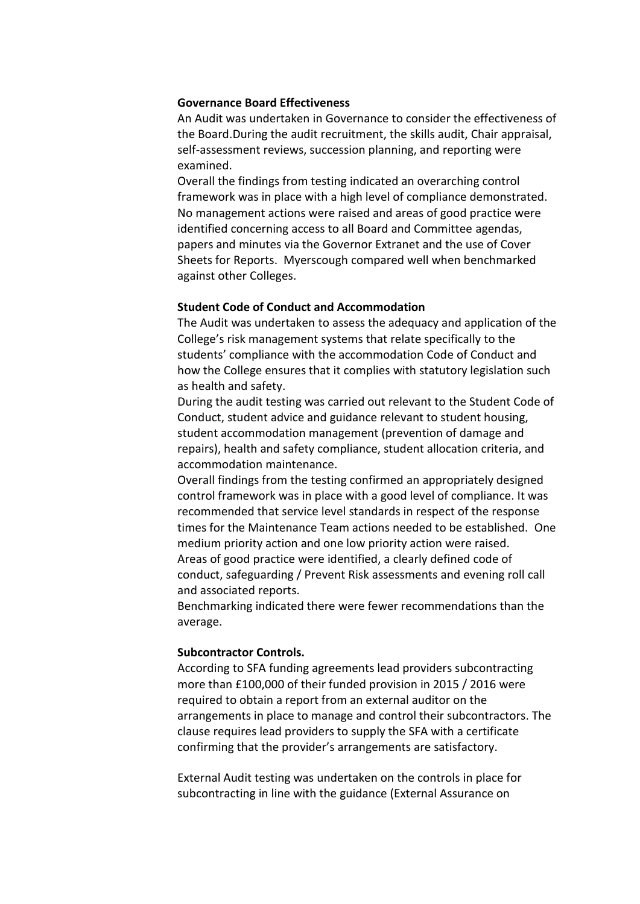# **Governance Board Effectiveness**

An Audit was undertaken in Governance to consider the effectiveness of the Board.During the audit recruitment, the skills audit, Chair appraisal, self-assessment reviews, succession planning, and reporting were examined.

Overall the findings from testing indicated an overarching control framework was in place with a high level of compliance demonstrated. No management actions were raised and areas of good practice were identified concerning access to all Board and Committee agendas, papers and minutes via the Governor Extranet and the use of Cover Sheets for Reports. Myerscough compared well when benchmarked against other Colleges.

#### **Student Code of Conduct and Accommodation**

The Audit was undertaken to assess the adequacy and application of the College's risk management systems that relate specifically to the students' compliance with the accommodation Code of Conduct and how the College ensures that it complies with statutory legislation such as health and safety.

During the audit testing was carried out relevant to the Student Code of Conduct, student advice and guidance relevant to student housing, student accommodation management (prevention of damage and repairs), health and safety compliance, student allocation criteria, and accommodation maintenance.

Overall findings from the testing confirmed an appropriately designed control framework was in place with a good level of compliance. It was recommended that service level standards in respect of the response times for the Maintenance Team actions needed to be established. One medium priority action and one low priority action were raised. Areas of good practice were identified, a clearly defined code of conduct, safeguarding / Prevent Risk assessments and evening roll call and associated reports.

Benchmarking indicated there were fewer recommendations than the average.

#### **Subcontractor Controls.**

According to SFA funding agreements lead providers subcontracting more than £100,000 of their funded provision in 2015 / 2016 were required to obtain a report from an external auditor on the arrangements in place to manage and control their subcontractors. The clause requires lead providers to supply the SFA with a certificate confirming that the provider's arrangements are satisfactory.

External Audit testing was undertaken on the controls in place for subcontracting in line with the guidance (External Assurance on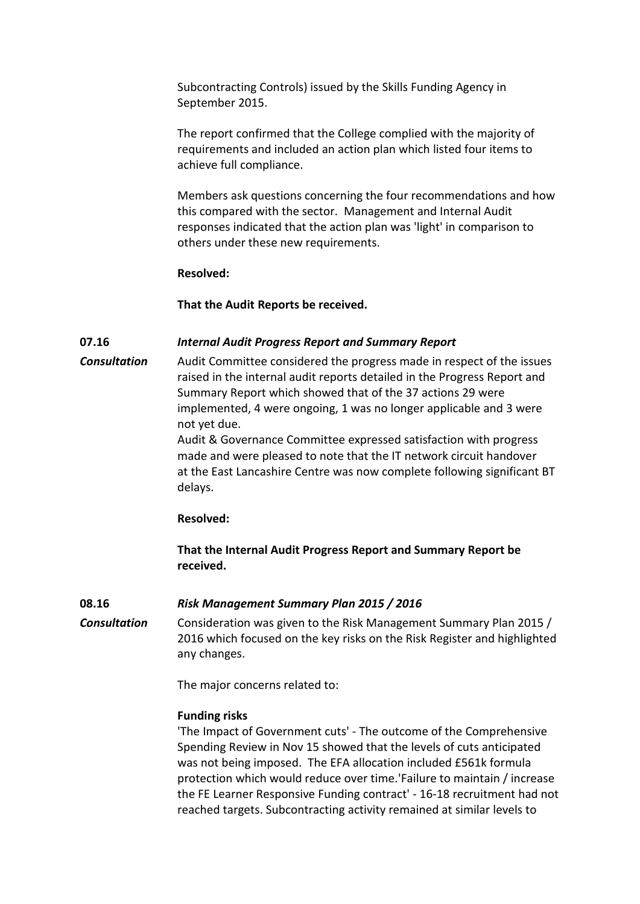Subcontracting Controls) issued by the Skills Funding Agency in September 2015.

The report confirmed that the College complied with the majority of requirements and included an action plan which listed four items to achieve full compliance.

Members ask questions concerning the four recommendations and how this compared with the sector. Management and Internal Audit responses indicated that the action plan was 'light' in comparison to others under these new requirements.

# **Resolved:**

# **That the Audit Reports be received.**

# **07.16** *Internal Audit Progress Report and Summary Report*

*Consultation* Audit Committee considered the progress made in respect of the issues raised in the internal audit reports detailed in the Progress Report and Summary Report which showed that of the 37 actions 29 were implemented, 4 were ongoing, 1 was no longer applicable and 3 were not yet due.

> Audit & Governance Committee expressed satisfaction with progress made and were pleased to note that the IT network circuit handover at the East Lancashire Centre was now complete following significant BT delays.

#### **Resolved:**

**That the Internal Audit Progress Report and Summary Report be received.**

#### **08.16** *Risk Management Summary Plan 2015 / 2016*

*Consultation* Consideration was given to the Risk Management Summary Plan 2015 / 2016 which focused on the key risks on the Risk Register and highlighted any changes.

The major concerns related to:

#### **Funding risks**

'The Impact of Government cuts' - The outcome of the Comprehensive Spending Review in Nov 15 showed that the levels of cuts anticipated was not being imposed. The EFA allocation included £561k formula protection which would reduce over time.'Failure to maintain / increase the FE Learner Responsive Funding contract' - 16-18 recruitment had not reached targets. Subcontracting activity remained at similar levels to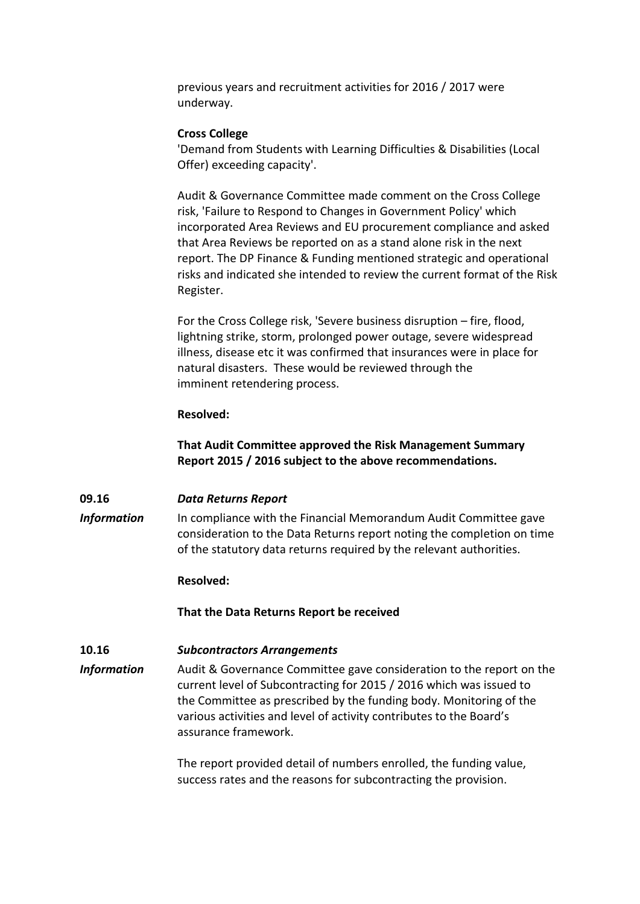previous years and recruitment activities for 2016 / 2017 were underway.

# **Cross College**

'Demand from Students with Learning Difficulties & Disabilities (Local Offer) exceeding capacity'.

Audit & Governance Committee made comment on the Cross College risk, 'Failure to Respond to Changes in Government Policy' which incorporated Area Reviews and EU procurement compliance and asked that Area Reviews be reported on as a stand alone risk in the next report. The DP Finance & Funding mentioned strategic and operational risks and indicated she intended to review the current format of the Risk Register.

For the Cross College risk, 'Severe business disruption – fire, flood, lightning strike, storm, prolonged power outage, severe widespread illness, disease etc it was confirmed that insurances were in place for natural disasters. These would be reviewed through the imminent retendering process.

# **Resolved:**

**That Audit Committee approved the Risk Management Summary Report 2015 / 2016 subject to the above recommendations.**

# **09.16** *Data Returns Report*

**Information** In compliance with the Financial Memorandum Audit Committee gave consideration to the Data Returns report noting the completion on time of the statutory data returns required by the relevant authorities.

#### **Resolved:**

#### **That the Data Returns Report be received**

# **10.16** *Subcontractors Arrangements*

*Information* Audit & Governance Committee gave consideration to the report on the current level of Subcontracting for 2015 / 2016 which was issued to the Committee as prescribed by the funding body. Monitoring of the various activities and level of activity contributes to the Board's assurance framework.

> The report provided detail of numbers enrolled, the funding value, success rates and the reasons for subcontracting the provision.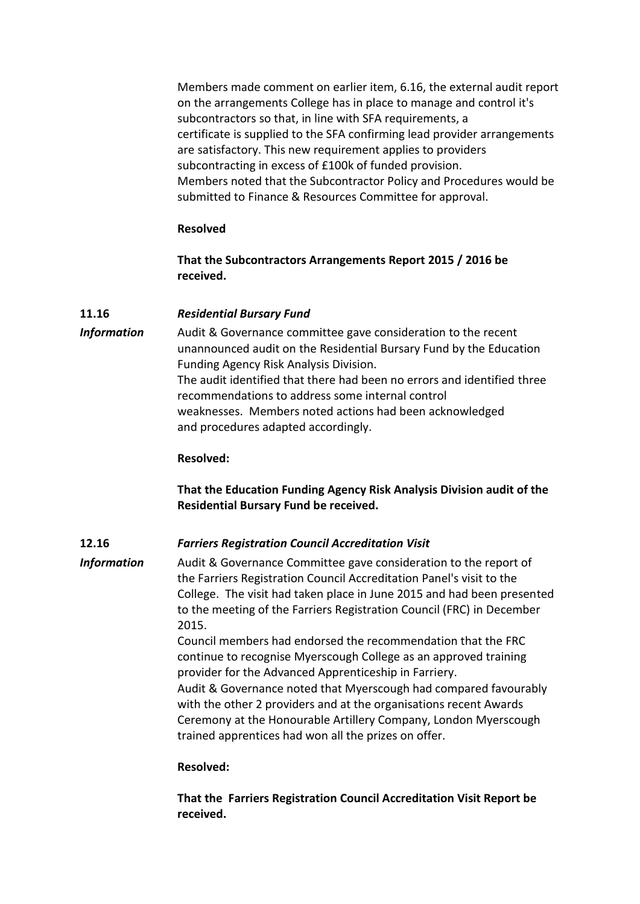Members made comment on earlier item, 6.16, the external audit report on the arrangements College has in place to manage and control it's subcontractors so that, in line with SFA requirements, a certificate is supplied to the SFA confirming lead provider arrangements are satisfactory. This new requirement applies to providers subcontracting in excess of £100k of funded provision. Members noted that the Subcontractor Policy and Procedures would be submitted to Finance & Resources Committee for approval.

# **Resolved**

**That the Subcontractors Arrangements Report 2015 / 2016 be received.** 

# **11.16** *Residential Bursary Fund*

*Information* Audit & Governance committee gave consideration to the recent unannounced audit on the Residential Bursary Fund by the Education Funding Agency Risk Analysis Division. The audit identified that there had been no errors and identified three recommendations to address some internal control weaknesses. Members noted actions had been acknowledged and procedures adapted accordingly.

# **Resolved:**

**That the Education Funding Agency Risk Analysis Division audit of the Residential Bursary Fund be received.**

# **12.16** *Farriers Registration Council Accreditation Visit*

*Information* Audit & Governance Committee gave consideration to the report of the Farriers Registration Council Accreditation Panel's visit to the College. The visit had taken place in June 2015 and had been presented to the meeting of the Farriers Registration Council (FRC) in December 2015.

Council members had endorsed the recommendation that the FRC continue to recognise Myerscough College as an approved training provider for the Advanced Apprenticeship in Farriery. Audit & Governance noted that Myerscough had compared favourably with the other 2 providers and at the organisations recent Awards Ceremony at the Honourable Artillery Company, London Myerscough trained apprentices had won all the prizes on offer.

#### **Resolved:**

**That the Farriers Registration Council Accreditation Visit Report be received.**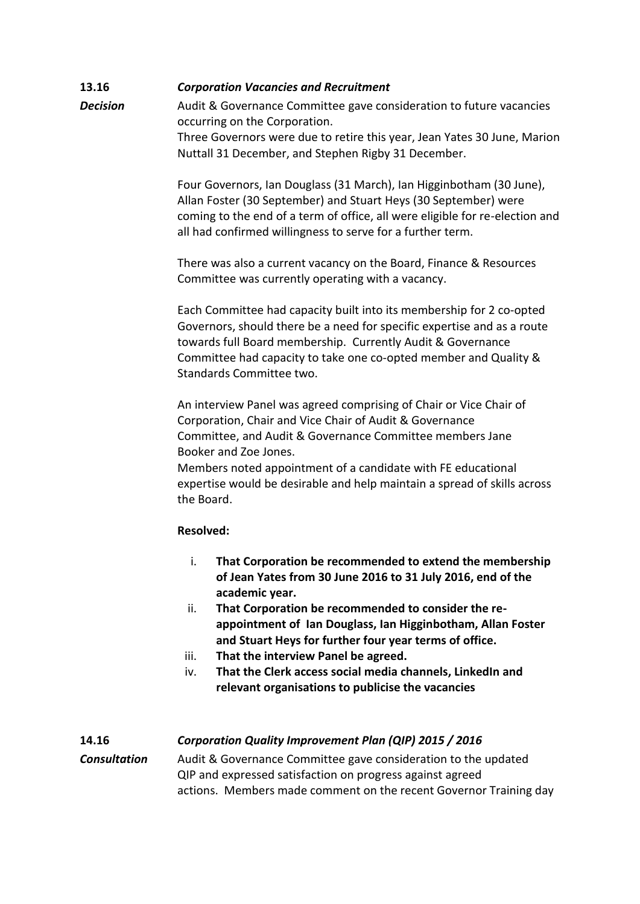# **13.16** *Corporation Vacancies and Recruitment*

**Decision** Audit & Governance Committee gave consideration to future vacancies occurring on the Corporation. Three Governors were due to retire this year, Jean Yates 30 June, Marion Nuttall 31 December, and Stephen Rigby 31 December.

> Four Governors, Ian Douglass (31 March), Ian Higginbotham (30 June), Allan Foster (30 September) and Stuart Heys (30 September) were coming to the end of a term of office, all were eligible for re-election and all had confirmed willingness to serve for a further term.

There was also a current vacancy on the Board, Finance & Resources Committee was currently operating with a vacancy.

Each Committee had capacity built into its membership for 2 co-opted Governors, should there be a need for specific expertise and as a route towards full Board membership. Currently Audit & Governance Committee had capacity to take one co-opted member and Quality & Standards Committee two.

An interview Panel was agreed comprising of Chair or Vice Chair of Corporation, Chair and Vice Chair of Audit & Governance Committee, and Audit & Governance Committee members Jane Booker and Zoe Jones.

Members noted appointment of a candidate with FE educational expertise would be desirable and help maintain a spread of skills across the Board.

# **Resolved:**

- i. **That Corporation be recommended to extend the membership of Jean Yates from 30 June 2016 to 31 July 2016, end of the academic year.**
- ii. **That Corporation be recommended to consider the reappointment of Ian Douglass, Ian Higginbotham, Allan Foster and Stuart Heys for further four year terms of office.**
- iii. **That the interview Panel be agreed.**
- iv. **That the Clerk access social media channels, LinkedIn and relevant organisations to publicise the vacancies**

# **14.16** *Corporation Quality Improvement Plan (QIP) 2015 / 2016*

# *Consultation* Audit & Governance Committee gave consideration to the updated QIP and expressed satisfaction on progress against agreed actions. Members made comment on the recent Governor Training day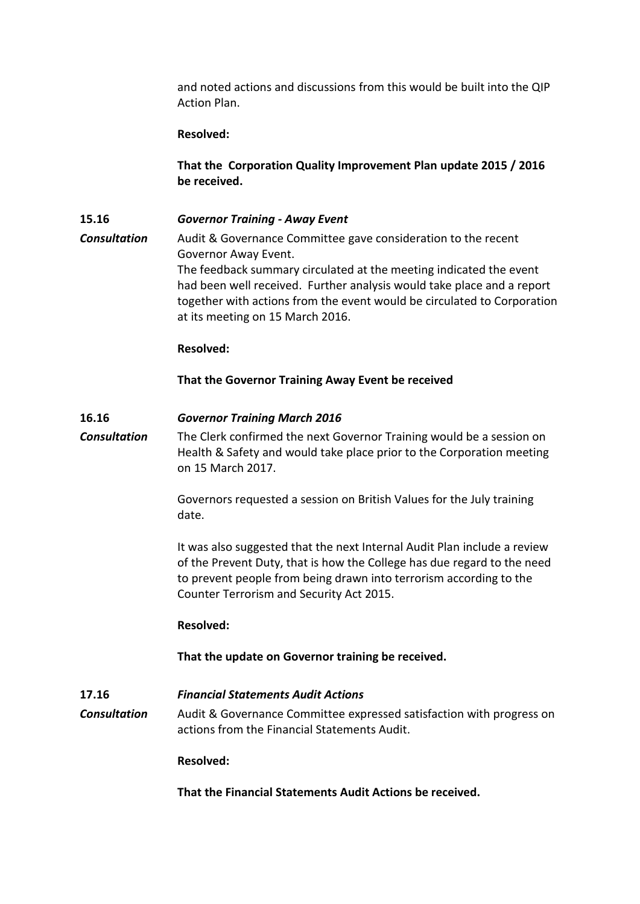and noted actions and discussions from this would be built into the QIP Action Plan.

#### **Resolved:**

**That the Corporation Quality Improvement Plan update 2015 / 2016 be received.**

**15.16** *Governor Training - Away Event Consultation* Audit & Governance Committee gave consideration to the recent Governor Away Event. The feedback summary circulated at the meeting indicated the event had been well received. Further analysis would take place and a report together with actions from the event would be circulated to Corporation at its meeting on 15 March 2016.

#### **Resolved:**

**That the Governor Training Away Event be received**

#### **16.16** *Governor Training March 2016*

*Consultation* The Clerk confirmed the next Governor Training would be a session on Health & Safety and would take place prior to the Corporation meeting on 15 March 2017.

> Governors requested a session on British Values for the July training date.

It was also suggested that the next Internal Audit Plan include a review of the Prevent Duty, that is how the College has due regard to the need to prevent people from being drawn into terrorism according to the Counter Terrorism and Security Act 2015.

#### **Resolved:**

**That the update on Governor training be received.**

# **17.16** *Financial Statements Audit Actions*

*Consultation* Audit & Governance Committee expressed satisfaction with progress on actions from the Financial Statements Audit.

#### **Resolved:**

**That the Financial Statements Audit Actions be received.**